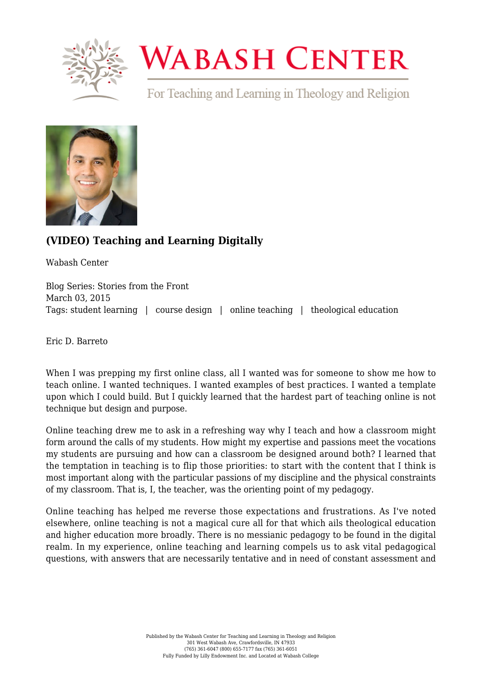

## **WABASH CENTER**

For Teaching and Learning in Theology and Religion



## **[\(VIDEO\) Teaching and Learning Digitally](https://www.wabashcenter.wabash.edu/2015/03/video-teaching-and-learning-digitally/)**

Wabash Center

Blog Series: Stories from the Front March 03, 2015 Tags: student learning | course design | online teaching | theological education

Eric D. Barreto

When I was prepping my first online class, all I wanted was for someone to show me how to teach online. I wanted techniques. I wanted examples of best practices. I wanted a template upon which I could build. But I quickly learned that the hardest part of teaching online is not technique but design and purpose.

Online teaching drew me to ask in a refreshing way why I teach and how a classroom might form around the calls of my students. How might my expertise and passions meet the vocations my students are pursuing and how can a classroom be designed around both? I learned that the temptation in teaching is to flip those priorities: to start with the content that I think is most important along with the particular passions of my discipline and the physical constraints of my classroom. That is, I, the teacher, was the orienting point of my pedagogy.

Online teaching has helped me reverse those expectations and frustrations. [As I've noted](https://www.wabashcenter.wabash.edu/2014/09/there-is-no-front-of-the-classroom/) [elsewhere, online teaching is not a magical cure all for that which ails theological education](https://www.wabashcenter.wabash.edu/2014/09/there-is-no-front-of-the-classroom/) [and higher education more broadly.](https://www.wabashcenter.wabash.edu/2014/09/there-is-no-front-of-the-classroom/) There is no messianic pedagogy to be found in the digital realm. In my experience, online teaching and learning compels us to ask vital pedagogical questions, with answers that are necessarily tentative and in need of constant assessment and